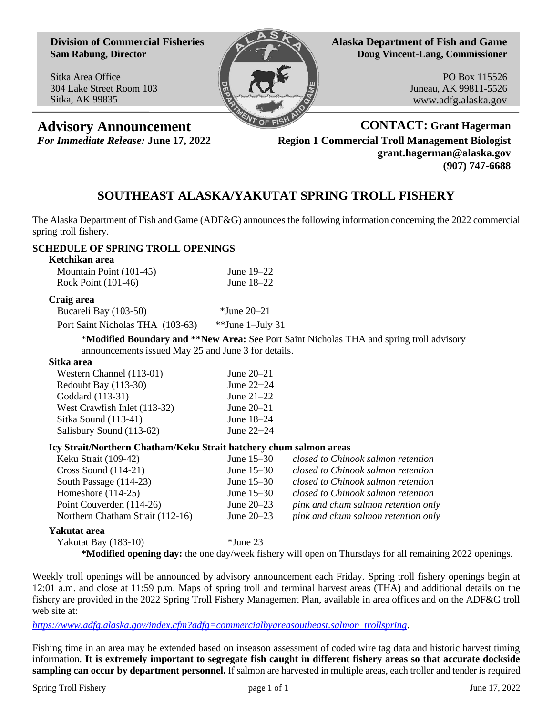**Division of Commercial Fisheries Sam Rabung, Director**

Sitka Area Office 304 Lake Street Room 103 Sitka, AK 99835



**Alaska Department of Fish and Game Doug Vincent-Lang, Commissioner**

> PO Box 115526 Juneau, AK 99811-5526 www.adfg.alaska.gov

**Advisory Announcement CONTACT: Grant Hagerman** *For Immediate Release:* **June 17, 2022 Region 1 Commercial Troll Management Biologist grant.hagerman@alaska.gov (907) 747-6688**

# **SOUTHEAST ALASKA/YAKUTAT SPRING TROLL FISHERY**

The Alaska Department of Fish and Game (ADF&G) announces the following information concerning the 2022 commercial spring troll fishery.

# **SCHEDULE OF SPRING TROLL OPENINGS**

| Ketchikan area          |              |
|-------------------------|--------------|
| Mountain Point (101-45) | June $19-22$ |
| Rock Point (101-46)     | June $18-22$ |

#### **Craig area**

| Bucareli Bay (103-50)                                                   | $\cdot$ Vune 20–21    |  |  |
|-------------------------------------------------------------------------|-----------------------|--|--|
| $D_{\text{out}}$ $\text{C}_{\text{out}}$ $\text{Nicholog THA}$ (102.62) | $*$ $*$ Lung 1 Luly 2 |  |  |

Port Saint Nicholas THA (103-63) \*\*June 1–July 31

\***Modified Boundary and \*\*New Area:** See Port Saint Nicholas THA and spring troll advisory announcements issued May 25 and June 3 for details.

## **Sitka area**

| Western Channel (113-01)     | June $20-21$   |
|------------------------------|----------------|
| Redoubt Bay (113-30)         | June $22-24$   |
| Goddard (113-31)             | June $21-22$   |
| West Crawfish Inlet (113-32) | June $20 - 21$ |
| Sitka Sound (113-41)         | June 18–24     |
| Salisbury Sound (113-62)     | June $22-24$   |

#### **Icy Strait/Northern Chatham/Keku Strait hatchery chum salmon areas**

| Keku Strait (109-42)             | June $15-30$ | closed to Chinook salmon retention  |
|----------------------------------|--------------|-------------------------------------|
| Cross Sound $(114-21)$           | June $15-30$ | closed to Chinook salmon retention  |
| South Passage (114-23)           | June $15-30$ | closed to Chinook salmon retention  |
| Homeshore $(114-25)$             | June $15-30$ | closed to Chinook salmon retention  |
| Point Couverden (114-26)         | June $20-23$ | pink and chum salmon retention only |
| Northern Chatham Strait (112-16) | June $20-23$ | pink and chum salmon retention only |
|                                  |              |                                     |

### **Yakutat area**

Yakutat Bay (183-10) \*June 23

**\*Modified opening day:** the one day/week fishery will open on Thursdays for all remaining 2022 openings.

Weekly troll openings will be announced by advisory announcement each Friday. Spring troll fishery openings begin at 12:01 a.m. and close at 11:59 p.m. Maps of spring troll and terminal harvest areas (THA) and additional details on the fishery are provided in the 2022 Spring Troll Fishery Management Plan, available in area offices and on the ADF&G troll web site at:

*[https://www.adfg.alaska.gov/index.cfm?adfg=commercialbyareasoutheast.salmon\\_trollspring](https://www.adfg.alaska.gov/index.cfm?adfg=commercialbyareasoutheast.salmon_trollspring)*.

Fishing time in an area may be extended based on inseason assessment of coded wire tag data and historic harvest timing information. **It is extremely important to segregate fish caught in different fishery areas so that accurate dockside sampling can occur by department personnel.** If salmon are harvested in multiple areas, each troller and tender is required